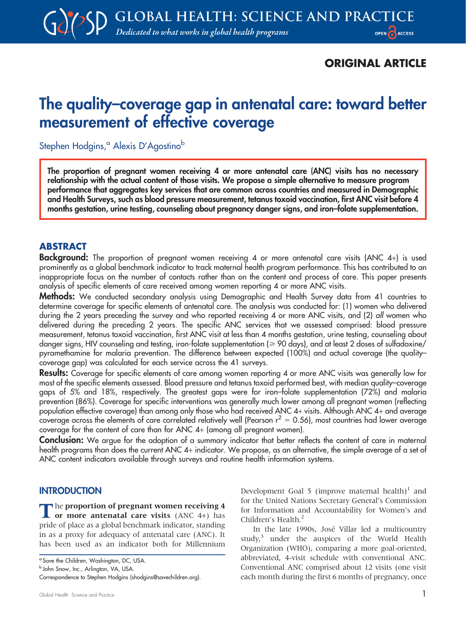## ORIGINAL ARTICLE

# The quality–coverage gap in antenatal care: toward better measurement of effective coverage

Stephen Hodgins,<sup>a</sup> Alexis D'Agostino<sup>b</sup>

The proportion of pregnant women receiving 4 or more antenatal care (ANC) visits has no necessary relationship with the actual content of those visits. We propose a simple alternative to measure program performance that aggregates key services that are common across countries and measured in Demographic and Health Surveys, such as blood pressure measurement, tetanus toxoid vaccination, first ANC visit before 4 months gestation, urine testing, counseling about pregnancy danger signs, and iron–folate supplementation.

#### ABSTRACT

Background: The proportion of pregnant women receiving 4 or more antenatal care visits (ANC 4+) is used prominently as a global benchmark indicator to track maternal health program performance. This has contributed to an inappropriate focus on the number of contacts rather than on the content and process of care. This paper presents analysis of specific elements of care received among women reporting 4 or more ANC visits.

Methods: We conducted secondary analysis using Demographic and Health Survey data from 41 countries to determine coverage for specific elements of antenatal care. The analysis was conducted for: (1) women who delivered during the 2 years preceding the survey and who reported receiving 4 or more ANC visits, and (2) all women who delivered during the preceding 2 years. The specific ANC services that we assessed comprised: blood pressure measurement, tetanus toxoid vaccination, first ANC visit at less than 4 months gestation, urine testing, counseling about danger signs, HIV counseling and testing, iron-folate supplementation ( $\geq 90$  days), and at least 2 doses of sulfadoxine/ pyramethamine for malaria prevention. The difference between expected (100%) and actual coverage (the quality– coverage gap) was calculated for each service across the 41 surveys.

Results: Coverage for specific elements of care among women reporting 4 or more ANC visits was generally low for most of the specific elements assessed. Blood pressure and tetanus toxoid performed best, with median quality–coverage gaps of 5% and 18%, respectively. The greatest gaps were for iron–folate supplementation (72%) and malaria prevention (86%). Coverage for specific interventions was generally much lower among all pregnant women (reflecting population effective coverage) than among only those who had received ANC 4+ visits. Although ANC 4+ and average coverage across the elements of care correlated relatively well (Pearson  $r^2 = 0.56$ ), most countries had lower average coverage for the content of care than for ANC 4+ (among all pregnant women).

Conclusion: We argue for the adoption of a summary indicator that better reflects the content of care in maternal health programs than does the current ANC 4+ indicator. We propose, as an alternative, the simple average of a set of ANC content indicators available through surveys and routine health information systems.

#### **INTRODUCTION**

The proportion of pregnant women receiving 4<br>
or more antenatal care visits (ANC 4+) has pride of place as a global benchmark indicator, standing in as a proxy for adequacy of antenatal care (ANC). It has been used as an indicator both for Millennium

**b** John Snow, Inc., Arlington, VA, USA.

Development Goal 5 (improve maternal health)<sup>1</sup> and for the United Nations Secretary General's Commission for Information and Accountability for Women's and Children's Health.<sup>2</sup>

In the late 1990s, José Villar led a multicountry study,<sup>3</sup> under the auspices of the World Health Organization (WHO), comparing a more goal-oriented, abbreviated, 4-visit schedule with conventional ANC. Conventional ANC comprised about 12 visits (one visit each month during the first 6 months of pregnancy, once

<sup>&</sup>lt;sup>a</sup> Save the Children, Washington, DC, USA.

Correspondence to Stephen Hodgins (shodgins@savechildren.org).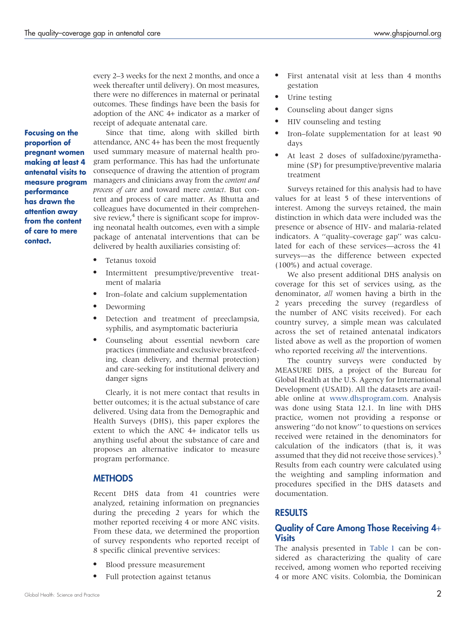every 2–3 weeks for the next 2 months, and once a week thereafter until delivery). On most measures, there were no differences in maternal or perinatal outcomes. These findings have been the basis for adoption of the ANC 4+ indicator as a marker of receipt of adequate antenatal care.

Focusing on the proportion of pregnant women making at least 4 antenatal visits to measure program performance has drawn the attention away from the content of care to mere contact.

Since that time, along with skilled birth attendance, ANC 4+ has been the most frequently used summary measure of maternal health program performance. This has had the unfortunate consequence of drawing the attention of program managers and clinicians away from the content and process of care and toward mere contact. But content and process of care matter. As Bhutta and colleagues have documented in their comprehensive review, $4$  there is significant scope for improving neonatal health outcomes, even with a simple package of antenatal interventions that can be delivered by health auxiliaries consisting of:

- Tetanus toxoid
- N Intermittent presumptive/preventive treatment of malaria
- Iron–folate and calcium supplementation
- Deworming
- $\bullet$  Detection and treatment of preeclampsia, syphilis, and asymptomatic bacteriuria
- Counseling about essential newborn care practices (immediate and exclusive breastfeeding, clean delivery, and thermal protection) and care-seeking for institutional delivery and danger signs

Clearly, it is not mere contact that results in better outcomes; it is the actual substance of care delivered. Using data from the Demographic and Health Surveys (DHS), this paper explores the extent to which the ANC 4+ indicator tells us anything useful about the substance of care and proposes an alternative indicator to measure program performance.

## **METHODS**

Recent DHS data from 41 countries were analyzed, retaining information on pregnancies during the preceding 2 years for which the mother reported receiving 4 or more ANC visits. From these data, we determined the proportion of survey respondents who reported receipt of 8 specific clinical preventive services:

- Blood pressure measurement
- Full protection against tetanus
- First antenatal visit at less than 4 months gestation
- Urine testing
- Counseling about danger signs
- HIV counseling and testing
- Iron–folate supplementation for at least 90 days
- At least 2 doses of sulfadoxine/pyramethamine (SP) for presumptive/preventive malaria treatment

Surveys retained for this analysis had to have values for at least 5 of these interventions of interest. Among the surveys retained, the main distinction in which data were included was the presence or absence of HIV- and malaria-related indicators. A ''quality–coverage gap'' was calculated for each of these services—across the 41 surveys—as the difference between expected (100%) and actual coverage.

We also present additional DHS analysis on coverage for this set of services using, as the denominator, all women having a birth in the 2 years preceding the survey (regardless of the number of ANC visits received). For each country survey, a simple mean was calculated across the set of retained antenatal indicators listed above as well as the proportion of women who reported receiving *all* the interventions.

The country surveys were conducted by MEASURE DHS, a project of the Bureau for Global Health at the U.S. Agency for International Development (USAID). All the datasets are available online at [www.dhsprogram.com.](www.dhsprogram.com) Analysis was done using Stata 12.1. In line with DHS practice, women not providing a response or answering ''do not know'' to questions on services received were retained in the denominators for calculation of the indicators (that is, it was assumed that they did not receive those services).<sup>5</sup> Results from each country were calculated using the weighting and sampling information and procedures specified in the DHS datasets and documentation.

## RESULTS

#### Quality of Care Among Those Receiving 4+ **Visits**

The analysis presented in [Table 1](#page-2-0) can be considered as characterizing the quality of care received, among women who reported receiving 4 or more ANC visits. Colombia, the Dominican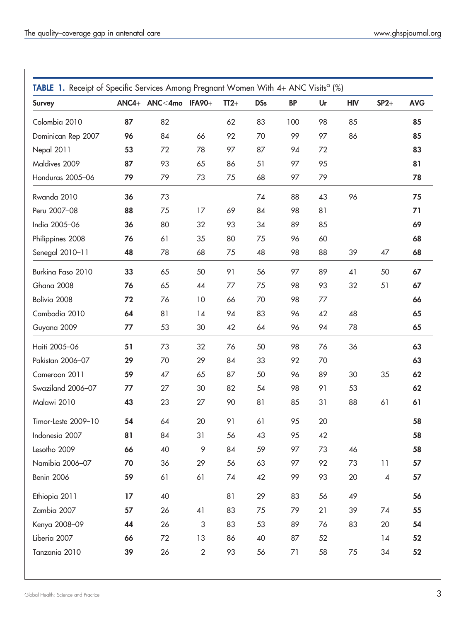<span id="page-2-0"></span>

| <b>Survey</b>       |    | ANC4+ ANC<4mo IFA90+ |                           | $TT2+$ | <b>DSs</b> | <b>BP</b> | Ur | <b>HIV</b> | $SP2+$                   | <b>AVG</b> |
|---------------------|----|----------------------|---------------------------|--------|------------|-----------|----|------------|--------------------------|------------|
| Colombia 2010       | 87 | 82                   |                           | 62     | 83         | 100       | 98 | 85         |                          | 85         |
| Dominican Rep 2007  | 96 | 84                   | 66                        | 92     | 70         | 99        | 97 | 86         |                          | 85         |
| Nepal 2011          | 53 | 72                   | 78                        | 97     | 87         | 94        | 72 |            |                          | 83         |
| Maldives 2009       | 87 | 93                   | 65                        | 86     | 51         | 97        | 95 |            |                          | 81         |
| Honduras 2005-06    | 79 | 79                   | 73                        | 75     | 68         | 97        | 79 |            |                          | 78         |
| Rwanda 2010         | 36 | 73                   |                           |        | 74         | 88        | 43 | 96         |                          | 75         |
| Peru 2007-08        | 88 | 75                   | 17                        | 69     | 84         | 98        | 81 |            |                          | 71         |
| India 2005-06       | 36 | 80                   | 32                        | 93     | 34         | 89        | 85 |            |                          | 69         |
| Philippines 2008    | 76 | 61                   | 35                        | 80     | 75         | 96        | 60 |            |                          | 68         |
| Senegal 2010-11     | 48 | 78                   | 68                        | 75     | 48         | 98        | 88 | 39         | 47                       | 68         |
| Burkina Faso 2010   | 33 | 65                   | 50                        | 91     | 56         | 97        | 89 | 41         | 50                       | 67         |
| Ghana 2008          | 76 | 65                   | 44                        | 77     | 75         | 98        | 93 | 32         | 51                       | 67         |
| Bolivia 2008        | 72 | 76                   | 10                        | 66     | 70         | 98        | 77 |            |                          | 66         |
| Cambodia 2010       | 64 | 81                   | 14                        | 94     | 83         | 96        | 42 | 48         |                          | 65         |
| Guyana 2009         | 77 | 53                   | 30                        | 42     | 64         | 96        | 94 | 78         |                          | 65         |
| Haiti 2005-06       | 51 | 73                   | 32                        | 76     | 50         | 98        | 76 | 36         |                          | 63         |
| Pakistan 2006-07    | 29 | 70                   | 29                        | 84     | 33         | 92        | 70 |            |                          | 63         |
| Cameroon 2011       | 59 | 47                   | 65                        | 87     | 50         | 96        | 89 | 30         | 35                       | 62         |
| Swaziland 2006-07   | 77 | 27                   | 30                        | 82     | 54         | 98        | 91 | 53         |                          | 62         |
| Malawi 2010         | 43 | 23                   | 27                        | 90     | 81         | 85        | 31 | 88         | 61                       | 61         |
| Timor-Leste 2009-10 | 54 | 64                   | 20                        | 91     | 61         | 95        | 20 |            |                          | 58         |
| Indonesia 2007      | 81 | 84                   | 31                        | 56     | 43         | 95        | 42 |            |                          | 58         |
| Lesotho 2009        | 66 | 40                   | 9                         | 84     | 59         | 97        | 73 | 46         |                          | 58         |
| Namibia 2006-07     | 70 | 36                   | 29                        | 56     | 63         | 97        | 92 | 73         | 11                       | 57         |
| Benin 2006          | 59 | 61                   | 61                        | 74     | 42         | 99        | 93 | 20         | $\overline{\mathcal{A}}$ | 57         |
| Ethiopia 2011       | 17 | 40                   |                           | 81     | 29         | 83        | 56 | 49         |                          | 56         |
| Zambia 2007         | 57 | 26                   | 41                        | 83     | 75         | 79        | 21 | 39         | 74                       | 55         |
| Kenya 2008-09       | 44 | 26                   | $\ensuremath{\mathsf{3}}$ | 83     | 53         | 89        | 76 | 83         | 20                       | 54         |
| Liberia 2007        | 66 | 72                   | 13                        | 86     | 40         | 87        | 52 |            | 14                       | 52         |
| Tanzania 2010       | 39 | 26                   | $\overline{2}$            | 93     | 56         | 71        | 58 | 75         | 34                       | 52         |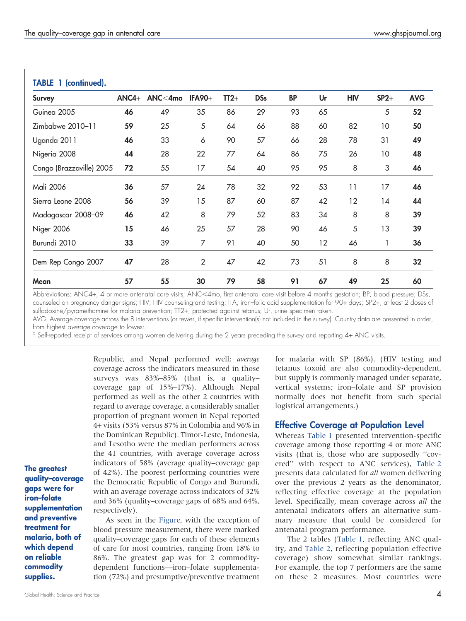| <b>Survey</b>            | $ANCA+$ | $ANC<$ 4mo | <b>IFA90+</b>  | $TT2+$ | <b>DSs</b> | <b>BP</b> | Ur | <b>HIV</b> | $SP2+$ | <b>AVG</b> |
|--------------------------|---------|------------|----------------|--------|------------|-----------|----|------------|--------|------------|
| Guinea 2005              | 46      | 49         | 35             | 86     | 29         | 93        | 65 |            | 5      | 52         |
| Zimbabwe 2010-11         | 59      | 25         | 5              | 64     | 66         | 88        | 60 | 82         | 10     | 50         |
| Uganda 2011              | 46      | 33         | 6              | 90     | 57         | 66        | 28 | 78         | 31     | 49         |
| Nigeria 2008             | 44      | 28         | 22             | 77     | 64         | 86        | 75 | 26         | 10     | 48         |
| Congo (Brazzaville) 2005 | 72      | 55         | 17             | 54     | 40         | 95        | 95 | 8          | 3      | 46         |
| Mali 2006                | 36      | 57         | 24             | 78     | 32         | 92        | 53 | 11         | 17     | 46         |
| Sierra Leone 2008        | 56      | 39         | 15             | 87     | 60         | 87        | 42 | 12         | 14     | 44         |
| Madagascar 2008–09       | 46      | 42         | 8              | 79     | 52         | 83        | 34 | 8          | 8      | 39         |
| Niger 2006               | 15      | 46         | 25             | 57     | 28         | 90        | 46 | 5          | 13     | 39         |
| Burundi 2010             | 33      | 39         | 7              | 91     | 40         | 50        | 12 | 46         |        | 36         |
| Dem Rep Congo 2007       | 47      | 28         | $\overline{2}$ | 47     | 42         | 73        | 51 | 8          | 8      | 32         |
| Mean                     | 57      | 55         | 30             | 79     | 58         | 91        | 67 | 49         | 25     | 60         |

Abbreviations: ANC4+, 4 or more antenatal care visits; ANC<4mo, first antenatal care visit before 4 months gestation; BP, blood pressure; DSs, counseled on pregnancy danger signs; HIV, HIV counseling and testing; IFA, iron–folic acid supplementation for 90+ days; SP2+, at least 2 doses of sulfadoxine/pyramethamine for malaria prevention; TT2+, protected against tetanus; Ur, urine specimen taken.

AVG: Average coverage across the 8 interventions (or fewer, if specific intervention(s) not included in the survey). Country data are presented in order,<br>from highest *average* coverage to lowest.

<sup>a</sup> Self-reported receipt of services among women delivering during the 2 years preceding the survey and reporting 4+ ANC visits.

Republic, and Nepal performed well; average coverage across the indicators measured in those surveys was 83%–85% (that is, a quality– coverage gap of 15%–17%). Although Nepal performed as well as the other 2 countries with regard to average coverage, a considerably smaller proportion of pregnant women in Nepal reported 4+ visits (53% versus 87% in Colombia and 96% in the Dominican Republic). Timor-Leste, Indonesia, and Lesotho were the median performers across the 41 countries, with average coverage across indicators of 58% (average quality–coverage gap of 42%). The poorest performing countries were the Democratic Republic of Congo and Burundi, with an average coverage across indicators of 32% and 36% (quality–coverage gaps of 68% and 64%, respectively).

The greatest quality–coverage gaps were for iron–folate supplementation and preventive treatment for malaria, both of which depend on reliable commodity supplies.

As seen in the [Figure](#page-4-0), with the exception of blood pressure measurement, there were marked quality–coverage gaps for each of these elements of care for most countries, ranging from 18% to 86%. The greatest gap was for 2 commoditydependent functions—iron–folate supplementation (72%) and presumptive/preventive treatment for malaria with SP (86%). (HIV testing and tetanus toxoid are also commodity-dependent, but supply is commonly managed under separate, vertical systems; iron–folate and SP provision normally does not benefit from such special logistical arrangements.)

## Effective Coverage at Population Level

Whereas [Table 1](#page-2-0) presented intervention-specific coverage among those reporting 4 or more ANC visits (that is, those who are supposedly ''covered'' with respect to ANC services), [Table 2](#page-5-0) presents data calculated for all women delivering over the previous 2 years as the denominator, reflecting effective coverage at the population level. Specifically, mean coverage across all the antenatal indicators offers an alternative summary measure that could be considered for antenatal program performance.

The 2 tables [\(Table 1](#page-2-0), reflecting ANC quality, and [Table 2](#page-5-0), reflecting population effective coverage) show somewhat similar rankings. For example, the top 7 performers are the same on these 2 measures. Most countries were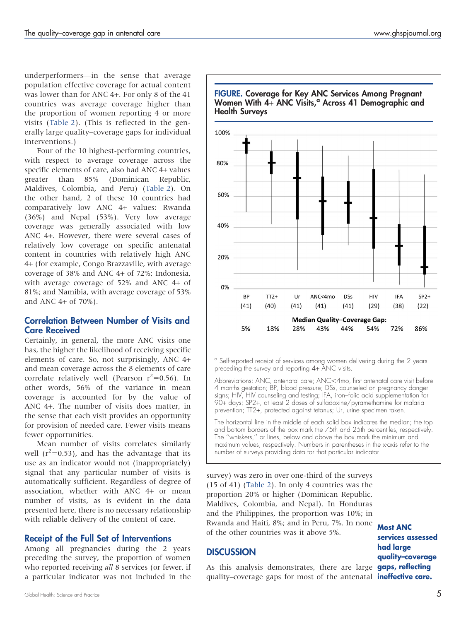<span id="page-4-0"></span>underperformers—in the sense that average population effective coverage for actual content was lower than for ANC 4+. For only 8 of the 41 countries was average coverage higher than the proportion of women reporting 4 or more visits [\(Table 2](#page-5-0)). (This is reflected in the generally large quality–coverage gaps for individual interventions.)

Four of the 10 highest-performing countries, with respect to average coverage across the specific elements of care, also had ANC 4+ values greater than 85% (Dominican Republic, Maldives, Colombia, and Peru) [\(Table 2](#page-5-0)). On the other hand, 2 of these 10 countries had comparatively low ANC 4+ values: Rwanda (36%) and Nepal (53%). Very low average coverage was generally associated with low ANC 4+. However, there were several cases of relatively low coverage on specific antenatal content in countries with relatively high ANC 4+ (for example, Congo Brazzaville, with average coverage of 38% and ANC 4+ of 72%; Indonesia, with average coverage of 52% and ANC 4+ of 81%; and Namibia, with average coverage of 53% and ANC 4+ of 70%).

## Correlation Between Number of Visits and Care Received

Certainly, in general, the more ANC visits one has, the higher the likelihood of receiving specific elements of care. So, not surprisingly, ANC 4+ and mean coverage across the 8 elements of care correlate relatively well (Pearson  $r^2$ =0.56). In other words, 56% of the variance in mean coverage is accounted for by the value of ANC 4+. The number of visits does matter, in the sense that each visit provides an opportunity for provision of needed care. Fewer visits means fewer opportunities.

Mean number of visits correlates similarly well ( $r^2$ =0.53), and has the advantage that its use as an indicator would not (inappropriately) signal that any particular number of visits is automatically sufficient. Regardless of degree of association, whether with ANC 4+ or mean number of visits, as is evident in the data presented here, there is no necessary relationship with reliable delivery of the content of care.

#### Receipt of the Full Set of Interventions

Among all pregnancies during the 2 years preceding the survey, the proportion of women who reported receiving all 8 services (or fewer, if a particular indicator was not included in the



<sup>a</sup> Self-reported receipt of services among women delivering during the 2 years preceding the survey and reporting 4+ ANC visits.

Abbreviations: ANC, antenatal care; ANC<4mo, first antenatal care visit before 4 months gestation; BP, blood pressure; DSs, counseled on pregnancy danger signs; HIV, HIV counseling and testing; IFA, iron–folic acid supplementation for 90+ days; SP2+, at least 2 doses of sulfadoxine/pyramethamine for malaria prevention; TT2+, protected against tetanus; Ur, urine specimen taken.

The horizontal line in the middle of each solid box indicates the median; the top and bottom borders of the box mark the 75th and 25th percentiles, respectively. The "whiskers," or lines, below and above the box mark the minimum and maximum values, respectively. Numbers in parentheses in the x-axis refer to the number of surveys providing data for that particular indicator.

survey) was zero in over one-third of the surveys (15 of 41) ([Table 2\)](#page-5-0). In only 4 countries was the proportion 20% or higher (Dominican Republic, Maldives, Colombia, and Nepal). In Honduras and the Philippines, the proportion was 10%; in Rwanda and Haiti, 8%; and in Peru, 7%. In none of the other countries was it above 5%.

#### **DISCUSSION**

As this analysis demonstrates, there are large gaps, reflecting quality–coverage gaps for most of the antenatal **ineffective care.** 

Most ANC services assessed had large quality–coverage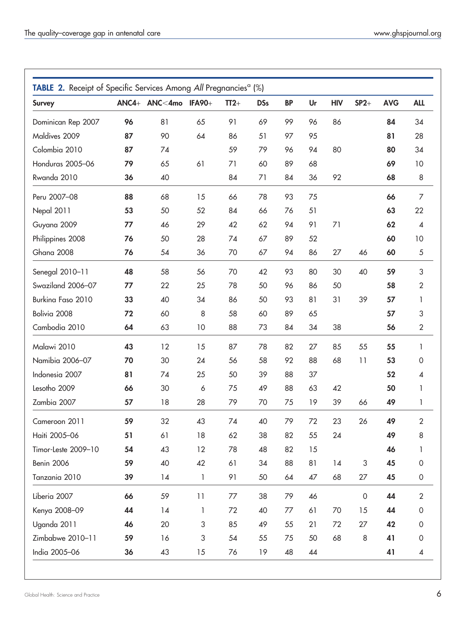<span id="page-5-0"></span>

| <b>Survey</b>       |    | ANC4+ ANC<4mo | <b>IFA90+</b> | $TT2+$ | <b>DSs</b> | <b>BP</b> | Ur | <b>HIV</b> | $SP2+$              | <b>AVG</b> | <b>ALL</b>               |
|---------------------|----|---------------|---------------|--------|------------|-----------|----|------------|---------------------|------------|--------------------------|
| Dominican Rep 2007  | 96 | 81            | 65            | 91     | 69         | 99        | 96 | 86         |                     | 84         | 34                       |
| Maldives 2009       | 87 | 90            | 64            | 86     | 51         | 97        | 95 |            |                     | 81         | 28                       |
| Colombia 2010       | 87 | 74            |               | 59     | 79         | 96        | 94 | 80         |                     | 80         | 34                       |
| Honduras 2005-06    | 79 | 65            | 61            | 71     | 60         | 89        | 68 |            |                     | 69         | 10                       |
| Rwanda 2010         | 36 | 40            |               | 84     | 71         | 84        | 36 | 92         |                     | 68         | 8                        |
| Peru 2007-08        | 88 | 68            | 15            | 66     | 78         | 93        | 75 |            |                     | 66         | $\overline{7}$           |
| Nepal 2011          | 53 | 50            | 52            | 84     | 66         | 76        | 51 |            |                     | 63         | 22                       |
| Guyana 2009         | 77 | 46            | 29            | 42     | 62         | 94        | 91 | 71         |                     | 62         | $\overline{\mathcal{A}}$ |
| Philippines 2008    | 76 | 50            | 28            | 74     | 67         | 89        | 52 |            |                     | 60         | 10                       |
| Ghana 2008          | 76 | 54            | 36            | 70     | 67         | 94        | 86 | 27         | 46                  | 60         | $\sqrt{5}$               |
| Senegal 2010-11     | 48 | 58            | 56            | 70     | 42         | 93        | 80 | 30         | 40                  | 59         | 3                        |
| Swaziland 2006-07   | 77 | 22            | 25            | 78     | 50         | 96        | 86 | 50         |                     | 58         | 2                        |
| Burkina Faso 2010   | 33 | 40            | 34            | 86     | 50         | 93        | 81 | 31         | 39                  | 57         | 1                        |
| Bolivia 2008        | 72 | 60            | 8             | 58     | 60         | 89        | 65 |            |                     | 57         | 3                        |
| Cambodia 2010       | 64 | 63            | 10            | 88     | 73         | 84        | 34 | 38         |                     | 56         | $\sqrt{2}$               |
| Malawi 2010         | 43 | 12            | 15            | 87     | 78         | 82        | 27 | 85         | 55                  | 55         | 1                        |
| Namibia 2006-07     | 70 | 30            | 24            | 56     | 58         | 92        | 88 | 68         | 11                  | 53         | $\mathsf{O}\xspace$      |
| Indonesia 2007      | 81 | 74            | 25            | 50     | 39         | 88        | 37 |            |                     | 52         | 4                        |
| Lesotho 2009        | 66 | 30            | 6             | 75     | 49         | 88        | 63 | 42         |                     | 50         | 1                        |
| Zambia 2007         | 57 | 18            | 28            | 79     | 70         | 75        | 19 | 39         | 66                  | 49         | 1                        |
| Cameroon 2011       | 59 | 32            | 43            | 74     | 40         | 79        | 72 | 23         | 26                  | 49         | $\overline{2}$           |
| Haiti 2005-06       | 51 | 61            | 18            | 62     | 38         | 82        | 55 | 24         |                     | 49         | 8                        |
| Timor-Leste 2009-10 | 54 | 43            | 12            | 78     | 48         | 82        | 15 |            |                     | 46         | 1                        |
| Benin 2006          | 59 | 40            | 42            | 61     | 34         | 88        | 81 | 14         | $\sqrt{3}$          | 45         | $\mathsf{O}\xspace$      |
| Tanzania 2010       | 39 | 14            | $\mathbf{1}$  | 91     | 50         | 64        | 47 | 68         | 27                  | 45         | $\mbox{O}$               |
| Liberia 2007        | 66 | 59            | 11            | 77     | 38         | 79        | 46 |            | $\mathsf{O}\xspace$ | 44         | $\overline{2}$           |
| Kenya 2008-09       | 44 | 14            | $\mathbf{1}$  | 72     | 40         | 77        | 61 | 70         | 15                  | 44         | $\mathsf{O}\xspace$      |
| Uganda 2011         | 46 | 20            | 3             | 85     | 49         | 55        | 21 | 72         | 27                  | 42         | $\mathbf 0$              |
| Zimbabwe 2010-11    | 59 | 16            | 3             | 54     | 55         | 75        | 50 | 68         | $\,8\,$             | 41         | $\mbox{O}$               |
| India 2005-06       | 36 | 43            | 15            | 76     | 19         | 48        | 44 |            |                     | 41         | 4                        |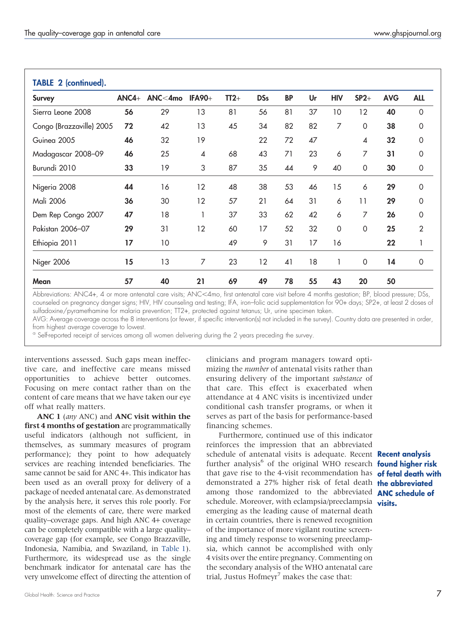| <b>Survey</b>            | $ANCA+$ | ANC<4mo | <b>IFA90+</b>            | $TT2+$ | <b>DSs</b> | <b>BP</b> | Ur | <b>HIV</b> | $SP2+$                   | <b>AVG</b> | <b>ALL</b>     |
|--------------------------|---------|---------|--------------------------|--------|------------|-----------|----|------------|--------------------------|------------|----------------|
| Sierra Leone 2008        | 56      | 29      | 13                       | 81     | 56         | 81        | 37 | 10         | 12                       | 40         | $\mathbf 0$    |
| Congo (Brazzaville) 2005 | 72      | 42      | 13                       | 45     | 34         | 82        | 82 | 7          | $\Omega$                 | 38         | $\Omega$       |
| Guinea 2005              | 46      | 32      | 19                       |        | 22         | 72        | 47 |            | $\overline{\mathcal{A}}$ | 32         | $\Omega$       |
| Madagascar 2008-09       | 46      | 25      | $\overline{\mathcal{A}}$ | 68     | 43         | 71        | 23 | 6          | 7                        | 31         | 0              |
| Burundi 2010             | 33      | 19      | 3                        | 87     | 35         | 44        | 9  | 40         | $\mathbf 0$              | 30         | $\mathbf 0$    |
| Nigeria 2008             | 44      | 16      | 12                       | 48     | 38         | 53        | 46 | 15         | 6                        | 29         | 0              |
| Mali 2006                | 36      | 30      | 12                       | 57     | 21         | 64        | 31 | 6          | 11                       | 29         | $\Omega$       |
| Dem Rep Congo 2007       | 47      | 18      | 1                        | 37     | 33         | 62        | 42 | 6          | 7                        | 26         | $\Omega$       |
| Pakistan 2006-07         | 29      | 31      | 12                       | 60     | 17         | 52        | 32 | 0          | 0                        | 25         | $\overline{2}$ |
| Ethiopia 2011            | 17      | 10      |                          | 49     | 9          | 31        | 17 | 16         |                          | 22         | 1              |
| Niger 2006               | 15      | 13      | 7                        | 23     | 12         | 41        | 18 |            | 0                        | 14         | $\mathbf 0$    |
| Mean                     | 57      | 40      | 21                       | 69     | 49         | 78        | 55 | 43         | 20                       | 50         |                |

Abbreviations: ANC4+, 4 or more antenatal care visits; ANC<4mo, first antenatal care visit before 4 months gestation; BP, blood pressure; DSs, counseled on pregnancy danger signs; HIV, HIV counseling and testing; IFA, iron–folic acid supplementation for 90+ days; SP2+, at least 2 doses of sulfadoxine/pyramethamine for malaria prevention; TT2+, protected against tetanus; Ur, urine specimen taken.

AVG: Average coverage across the 8 interventions (or fewer, if specific intervention(s) not included in the survey). Country data are presented in order,<br>from highest *average* coverage to lowest.

<sup>a</sup> Self-reported receipt of services among all women delivering during the 2 years preceding the survey.

interventions assessed. Such gaps mean ineffective care, and ineffective care means missed opportunities to achieve better outcomes. Focusing on mere contact rather than on the content of care means that we have taken our eye off what really matters.

ANC 1 (any ANC) and ANC visit within the first 4 months of gestation are programmatically useful indicators (although not sufficient, in themselves, as summary measures of program performance); they point to how adequately services are reaching intended beneficiaries. The same cannot be said for ANC 4+. This indicator has been used as an overall proxy for delivery of a package of needed antenatal care. As demonstrated by the analysis here, it serves this role poorly. For most of the elements of care, there were marked quality–coverage gaps. And high ANC 4+ coverage can be completely compatible with a large quality– coverage gap (for example, see Congo Brazzaville, Indonesia, Namibia, and Swaziland, in [Table 1\)](#page-2-0). Furthermore, its widespread use as the single benchmark indicator for antenatal care has the very unwelcome effect of directing the attention of

clinicians and program managers toward optimizing the *number* of antenatal visits rather than ensuring delivery of the important substance of that care. This effect is exacerbated when attendance at 4 ANC visits is incentivized under conditional cash transfer programs, or when it serves as part of the basis for performance-based financing schemes.

Furthermore, continued use of this indicator reinforces the impression that an abbreviated schedule of antenatal visits is adequate. Recent **Recent analysis** further analysis<sup>6</sup> of the original WHO research **found higher risk** that gave rise to the 4-visit recommendation has **of fetal death with** demonstrated a 27% higher risk of fetal death **the abbreviated** among those randomized to the abbreviated **ANC schedule of** schedule. Moreover, with eclampsia/preeclampsia visits. emerging as the leading cause of maternal death in certain countries, there is renewed recognition of the importance of more vigilant routine screening and timely response to worsening preeclampsia, which cannot be accomplished with only 4 visits over the entire pregnancy. Commenting on the secondary analysis of the WHO antenatal care trial, Justus Hofmeyr<sup>7</sup> makes the case that: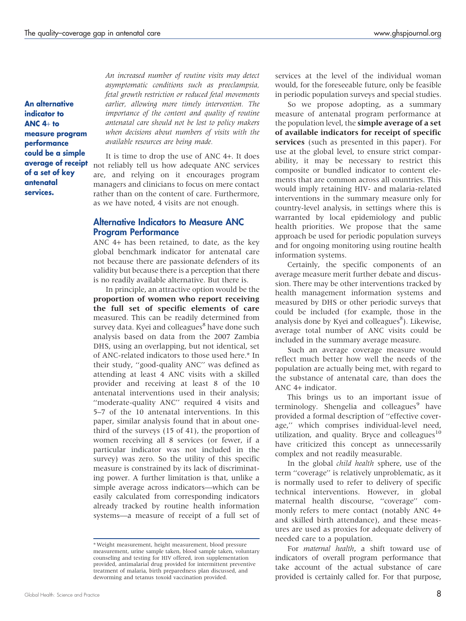An alternative indicator to ANC 4+ to measure program performance could be a simple average of receipt of a set of key antenatal services.

An increased number of routine visits may detect asymptomatic conditions such as preeclampsia, fetal growth restriction or reduced fetal movements earlier, allowing more timely intervention. The importance of the content and quality of routine antenatal care should not be lost to policy makers when decisions about numbers of visits with the available resources are being made.

It is time to drop the use of ANC 4+. It does not reliably tell us how adequate ANC services are, and relying on it encourages program managers and clinicians to focus on mere contact rather than on the content of care. Furthermore, as we have noted, 4 visits are not enough.

#### Alternative Indicators to Measure ANC Program Performance

ANC 4+ has been retained, to date, as the key global benchmark indicator for antenatal care not because there are passionate defenders of its validity but because there is a perception that there is no readily available alternative. But there is.

In principle, an attractive option would be the proportion of women who report receiving the full set of specific elements of care measured. This can be readily determined from survey data. Kyei and colleagues<sup>8</sup> have done such analysis based on data from the 2007 Zambia DHS, using an overlapping, but not identical, set of ANC-related indicators to those used here.\* In their study, ''good-quality ANC'' was defined as attending at least 4 ANC visits with a skilled provider and receiving at least 8 of the 10 antenatal interventions used in their analysis; ''moderate-quality ANC'' required 4 visits and 5–7 of the 10 antenatal interventions. In this paper, similar analysis found that in about onethird of the surveys (15 of 41), the proportion of women receiving all 8 services (or fewer, if a particular indicator was not included in the survey) was zero. So the utility of this specific measure is constrained by its lack of discriminating power. A further limitation is that, unlike a simple average across indicators—which can be easily calculated from corresponding indicators already tracked by routine health information systems—a measure of receipt of a full set of services at the level of the individual woman would, for the foreseeable future, only be feasible in periodic population surveys and special studies.

So we propose adopting, as a summary measure of antenatal program performance at the population level, the simple average of a set of available indicators for receipt of specific services (such as presented in this paper). For use at the global level, to ensure strict comparability, it may be necessary to restrict this composite or bundled indicator to content elements that are common across all countries. This would imply retaining HIV- and malaria-related interventions in the summary measure only for country-level analysis, in settings where this is warranted by local epidemiology and public health priorities. We propose that the same approach be used for periodic population surveys and for ongoing monitoring using routine health information systems.

Certainly, the specific components of an average measure merit further debate and discussion. There may be other interventions tracked by health management information systems and measured by DHS or other periodic surveys that could be included (for example, those in the analysis done by Kyei and colleagues<sup>8</sup>). Likewise, average total number of ANC visits could be included in the summary average measure.

Such an average coverage measure would reflect much better how well the needs of the population are actually being met, with regard to the substance of antenatal care, than does the ANC 4+ indicator.

This brings us to an important issue of terminology. Shengelia and colleagues<sup>9</sup> have provided a formal description of ''effective coverage,'' which comprises individual-level need, utilization, and quality. Bryce and colleagues $10$ have criticized this concept as unnecessarily complex and not readily measurable.

In the global child health sphere, use of the term ''coverage'' is relatively unproblematic, as it is normally used to refer to delivery of specific technical interventions. However, in global maternal health discourse, ''coverage'' commonly refers to mere contact (notably ANC 4+ and skilled birth attendance), and these measures are used as proxies for adequate delivery of needed care to a population.

For maternal health, a shift toward use of indicators of overall program performance that take account of the actual substance of care provided is certainly called for. For that purpose,

<sup>\*</sup> Weight measurement, height measurement, blood pressure measurement, urine sample taken, blood sample taken, voluntary counseling and testing for HIV offered, iron supplementation provided, antimalarial drug provided for intermittent preventive treatment of malaria, birth preparedness plan discussed, and deworming and tetanus toxoid vaccination provided.